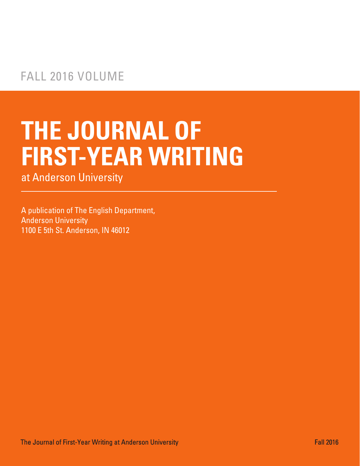# **THE JOURNAL OF FIRST-YEAR WRITING**

at Anderson University

A publication of The English Department, Anderson University 1100 E 5th St. Anderson, IN 46012

The Journal of First-Year Writing at Anderson University Fall 2016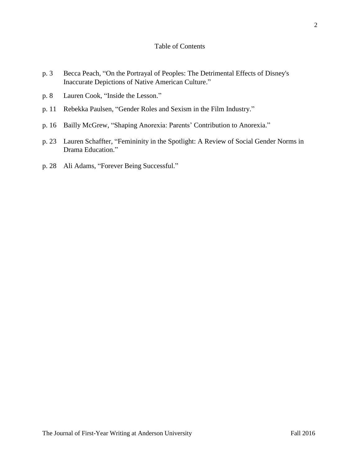# Table of Contents

- p. 3 Becca Peach, "On the Portrayal of Peoples: The Detrimental Effects of Disney's Inaccurate Depictions of Native American Culture."
- p. 8 Lauren Cook, "Inside the Lesson."
- p. 11 Rebekka Paulsen, "Gender Roles and Sexism in the Film Industry."
- p. 16 Bailly McGrew, "Shaping Anorexia: Parents' Contribution to Anorexia."
- p. 23 Lauren Schaffter, "Femininity in the Spotlight: A Review of Social Gender Norms in Drama Education."
- p. 28 Ali Adams, "Forever Being Successful."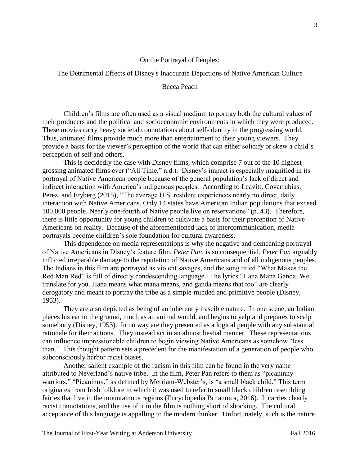## On the Portrayal of Peoples:

#### The Detrimental Effects of Disney's Inaccurate Depictions of Native American Culture

# Becca Peach

Children's films are often used as a visual medium to portray both the cultural values of their producers and the political and socioeconomic environments in which they were produced. These movies carry heavy societal connotations about self-identity in the progressing world. Thus, animated films provide much more than entertainment to their young viewers. They provide a basis for the viewer's perception of the world that can either solidify or skew a child's perception of self and others.

This is decidedly the case with Disney films, which comprise 7 out of the 10 highestgrossing animated films ever ("All Time," n.d.). Disney's impact is especially magnified in its portrayal of Native American people because of the general population's lack of direct and indirect interaction with America's indigenous peoples. According to Leavitt, Covarrubias, Perez, and Fryberg (2015), "The average U.S. resident experiences nearly no direct, daily interaction with Native Americans. Only 14 states have American Indian populations that exceed 100,000 people. Nearly one-fourth of Native people live on reservations" (p. 43). Therefore, there is little opportunity for young children to cultivate a basis for their perception of Native Americans on reality. Because of the aforementioned lack of intercommunication, media portrayals become children's sole foundation for cultural awareness.

This dependence on media representations is why the negative and demeaning portrayal of Native Americans in Disney's feature film, *Peter Pan*, is so consequential. *Peter Pan* arguably inflicted irreparable damage to the reputation of Native Americans and of all indigenous peoples. The Indians in this film are portrayed as violent savages, and the song titled "What Makes the Red Man Red" is full of directly condescending language. The lyrics "Hana Mana Ganda. We translate for you. Hana means what mana means, and ganda means that too" are clearly derogatory and meant to portray the tribe as a simple-minded and primitive people (Disney, 1953).

They are also depicted as being of an inherently irascible nature. In one scene, an Indian places his ear to the ground, much as an animal would, and begins to yelp and prepares to scalp somebody (Disney, 1953). In no way are they presented as a logical people with any substantial rationale for their actions. They instead act in an almost bestial manner. These representations can influence impressionable children to begin viewing Native Americans as somehow "less than." This thought pattern sets a precedent for the manifestation of a generation of people who subconsciously harbor racist biases.

 Another salient example of the racism in this film can be found in the very name attributed to Neverland's native tribe. In the film, Peter Pan refers to them as "picaninny warriors." "Picaninny," as defined by Merriam-Webster's, is "a small black child." This term originates from Irish folklore in which it was used to refer to small black children resembling fairies that live in the mountainous regions (Encyclopedia Britannica, 2016). It carries clearly racist connotations, and the use of it in the film is nothing short of shocking. The cultural acceptance of this language is appalling to the modern thinker. Unfortunately, such is the nature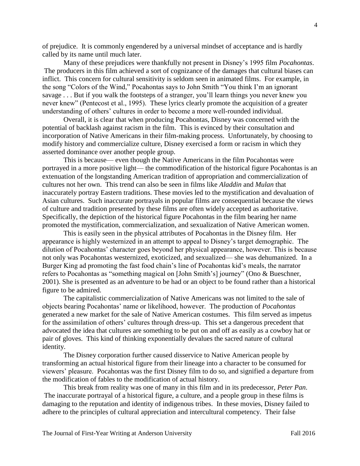of prejudice. It is commonly engendered by a universal mindset of acceptance and is hardly called by its name until much later.

Many of these prejudices were thankfully not present in Disney's 1995 film *Pocahontas*. The producers in this film achieved a sort of cognizance of the damages that cultural biases can inflict. This concern for cultural sensitivity is seldom seen in animated films. For example, in the song "Colors of the Wind," Pocahontas says to John Smith "You think I'm an ignorant savage . . . But if you walk the footsteps of a stranger, you'll learn things you never knew you never knew" (Pentecost et al., 1995). These lyrics clearly promote the acquisition of a greater understanding of others' cultures in order to become a more well-rounded individual.

Overall, it is clear that when producing Pocahontas, Disney was concerned with the potential of backlash against racism in the film. This is evinced by their consultation and incorporation of Native Americans in their film-making process. Unfortunately, by choosing to modify history and commercialize culture, Disney exercised a form or racism in which they asserted dominance over another people group.

This is because— even though the Native Americans in the film Pocahontas were portrayed in a more positive light— the commodification of the historical figure Pocahontas is an extenuation of the longstanding American tradition of appropriation and commercialization of cultures not her own. This trend can also be seen in films like *Aladdin* and *Mulan* that inaccurately portray Eastern traditions. These movies led to the mystification and devaluation of Asian cultures. Such inaccurate portrayals in popular films are consequential because the views of culture and tradition presented by these films are often widely accepted as authoritative. Specifically, the depiction of the historical figure Pocahontas in the film bearing her name promoted the mystification, commercialization, and sexualization of Native American women.

This is easily seen in the physical attributes of Pocahontas in the Disney film. Her appearance is highly westernized in an attempt to appeal to Disney's target demographic. The dilution of Pocahontas' character goes beyond her physical appearance, however. This is because not only was Pocahontas westernized, exoticized, and sexualized— she was dehumanized. In a Burger King ad promoting the fast food chain's line of Pocahontas kid's meals, the narrator refers to Pocahontas as "something magical on [John Smith's] journey" (Ono & Bueschner, 2001). She is presented as an adventure to be had or an object to be found rather than a historical figure to be admired.

 The capitalistic commercialization of Native Americans was not limited to the sale of objects bearing Pocahontas' name or likelihood, however. The production of *Pocahontas*  generated a new market for the sale of Native American costumes. This film served as impetus for the assimilation of others' cultures through dress-up. This set a dangerous precedent that advocated the idea that cultures are something to be put on and off as easily as a cowboy hat or pair of gloves. This kind of thinking exponentially devalues the sacred nature of cultural identity.

The Disney corporation further caused disservice to Native American people by transforming an actual historical figure from their lineage into a character to be consumed for viewers' pleasure. Pocahontas was the first Disney film to do so, and signified a departure from the modification of fables to the modification of actual history.

This break from reality was one of many in this film and in its predecessor, *Peter Pan*. The inaccurate portrayal of a historical figure, a culture, and a people group in these films is damaging to the reputation and identity of indigenous tribes. In these movies, Disney failed to adhere to the principles of cultural appreciation and intercultural competency. Their false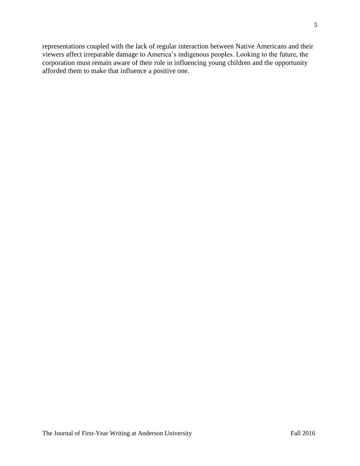representations coupled with the lack of regular interaction between Native Americans and their viewers affect irreparable damage to America's indigenous peoples. Looking to the future, the corporation must remain aware of their role in influencing young children and the opportunity afforded them to make that influence a positive one.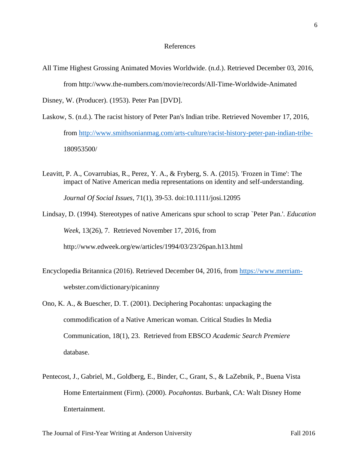#### References

All Time Highest Grossing Animated Movies Worldwide. (n.d.). Retrieved December 03, 2016, from http://www.the-numbers.com/movie/records/All-Time-Worldwide-Animated

Disney, W. (Producer). (1953). Peter Pan [DVD].

- Laskow, S. (n.d.). The racist history of Peter Pan's Indian tribe. Retrieved November 17, 2016, from http://www.smithsonianmag.com/arts-culture/racist-history-peter-pan-indian-tribe-180953500/
- Leavitt, P. A., Covarrubias, R., Perez, Y. A., & Fryberg, S. A. (2015). 'Frozen in Time': The impact of Native American media representations on identity and self-understanding.

*Journal Of Social Issues*, 71(1), 39-53. doi:10.1111/josi.12095

Lindsay, D. (1994). Stereotypes of native Americans spur school to scrap `Peter Pan.'. *Education Week*, 13(26), 7. Retrieved November 17, 2016, from

http://www.edweek.org/ew/articles/1994/03/23/26pan.h13.html

- Encyclopedia Britannica (2016). Retrieved December 04, 2016, from https://www.merriamwebster.com/dictionary/picaninny
- Ono, K. A., & Buescher, D. T. (2001). Deciphering Pocahontas: unpackaging the commodification of a Native American woman. Critical Studies In Media Communication, 18(1), 23. Retrieved from EBSCO *Academic Search Premiere*  database.
- Pentecost, J., Gabriel, M., Goldberg, E., Binder, C., Grant, S., & LaZebnik, P., Buena Vista Home Entertainment (Firm). (2000). *Pocahontas*. Burbank, CA: Walt Disney Home Entertainment.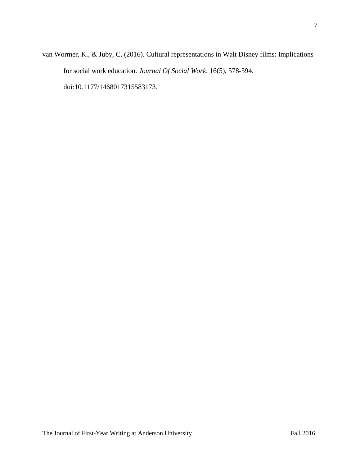van Wormer, K., & Juby, C. (2016). Cultural representations in Walt Disney films: Implications for social work education. *Journal Of Social Work*, 16(5), 578-594. doi:10.1177/1468017315583173.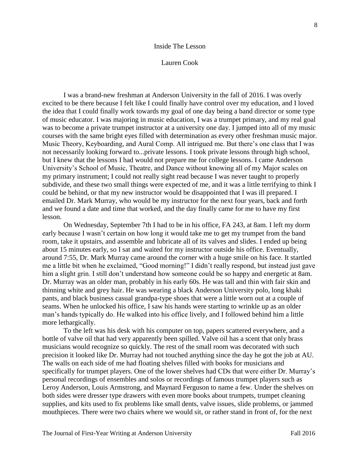#### Inside The Lesson

#### Lauren Cook

I was a brand-new freshman at Anderson University in the fall of 2016. I was overly excited to be there because I felt like I could finally have control over my education, and I loved the idea that I could finally work towards my goal of one day being a band director or some type of music educator. I was majoring in music education, I was a trumpet primary, and my real goal was to become a private trumpet instructor at a university one day. I jumped into all of my music courses with the same bright eyes filled with determination as every other freshman music major. Music Theory, Keyboarding, and Aural Comp. All intrigued me. But there's one class that I was not necessarily looking forward to...private lessons. I took private lessons through high school, but I knew that the lessons I had would not prepare me for college lessons. I came Anderson University's School of Music, Theatre, and Dance without knowing all of my Major scales on my primary instrument; I could not really sight read because I was never taught to properly subdivide, and these two small things were expected of me, and it was a little terrifying to think I could be behind, or that my new instructor would be disappointed that I was ill prepared. I emailed Dr. Mark Murray, who would be my instructor for the next four years, back and forth and we found a date and time that worked, and the day finally came for me to have my first lesson.

On Wednesday, September 7th I had to be in his office, FA 243, at 8am. I left my dorm early because I wasn't certain on how long it would take me to get my trumpet from the band room, take it upstairs, and assemble and lubricate all of its valves and slides. I ended up being about 15 minutes early, so I sat and waited for my instructor outside his office. Eventually, around 7:55, Dr. Mark Murray came around the corner with a huge smile on his face. It startled me a little bit when he exclaimed, "Good morning!" I didn't really respond, but instead just gave him a slight grin. I still don't understand how someone could be so happy and energetic at 8am. Dr. Murray was an older man, probably in his early 60s. He was tall and thin with fair skin and thinning white and grey hair. He was wearing a black Anderson University polo, long khaki pants, and black business casual grandpa-type shoes that were a little worn out at a couple of seams. When he unlocked his office, I saw his hands were starting to wrinkle up as an older man's hands typically do. He walked into his office lively, and I followed behind him a little more lethargically.

To the left was his desk with his computer on top, papers scattered everywhere, and a bottle of valve oil that had very apparently been spilled. Valve oil has a scent that only brass musicians would recognize so quickly. The rest of the small room was decorated with such precision it looked like Dr. Murray had not touched anything since the day he got the job at AU. The walls on each side of me had floating shelves filled with books for musicians and specifically for trumpet players. One of the lower shelves had CDs that were either Dr. Murray's personal recordings of ensembles and solos or recordings of famous trumpet players such as Leroy Anderson, Louis Armstrong, and Maynard Ferguson to name a few. Under the shelves on both sides were dresser type drawers with even more books about trumpets, trumpet cleaning supplies, and kits used to fix problems like small dents, valve issues, slide problems, or jammed mouthpieces. There were two chairs where we would sit, or rather stand in front of, for the next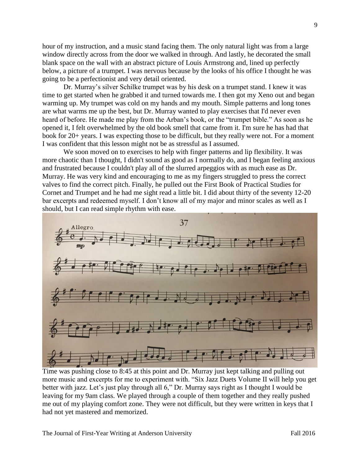hour of my instruction, and a music stand facing them. The only natural light was from a large window directly across from the door we walked in through. And lastly, he decorated the small blank space on the wall with an abstract picture of Louis Armstrong and, lined up perfectly below, a picture of a trumpet. I was nervous because by the looks of his office I thought he was going to be a perfectionist and very detail oriented.

Dr. Murray's silver Schilke trumpet was by his desk on a trumpet stand. I knew it was time to get started when he grabbed it and turned towards me. I then got my Xeno out and began warming up. My trumpet was cold on my hands and my mouth. Simple patterns and long tones are what warms me up the best, but Dr. Murray wanted to play exercises that I'd never even heard of before. He made me play from the Arban's book, or the "trumpet bible." As soon as he opened it, I felt overwhelmed by the old book smell that came from it. I'm sure he has had that book for 20+ years. I was expecting those to be difficult, but they really were not. For a moment I was confident that this lesson might not be as stressful as I assumed.

We soon moved on to exercises to help with finger patterns and lip flexibility. It was more chaotic than I thought, I didn't sound as good as I normally do, and I began feeling anxious and frustrated because I couldn't play all of the slurred arpeggios with as much ease as Dr. Murray. He was very kind and encouraging to me as my fingers struggled to press the correct valves to find the correct pitch. Finally, he pulled out the First Book of Practical Studies for Cornet and Trumpet and he had me sight read a little bit. I did about thirty of the seventy 12-20 bar excerpts and redeemed myself. I don't know all of my major and minor scales as well as I should, but I can read simple rhythm with ease.



Time was pushing close to 8:45 at this point and Dr. Murray just kept talking and pulling out more music and excerpts for me to experiment with. "Six Jazz Duets Volume II will help you get better with jazz. Let's just play through all 6," Dr. Murray says right as I thought I would be leaving for my 9am class. We played through a couple of them together and they really pushed me out of my playing comfort zone. They were not difficult, but they were written in keys that I had not yet mastered and memorized.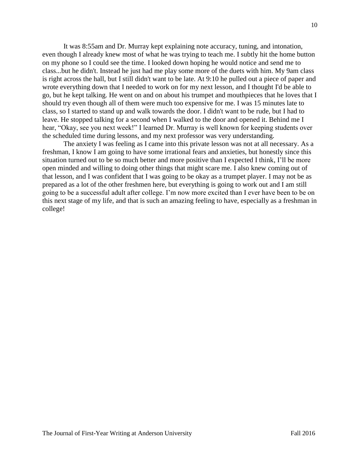It was 8:55am and Dr. Murray kept explaining note accuracy, tuning, and intonation, even though I already knew most of what he was trying to teach me. I subtly hit the home button on my phone so I could see the time. I looked down hoping he would notice and send me to class...but he didn't. Instead he just had me play some more of the duets with him. My 9am class is right across the hall, but I still didn't want to be late. At 9:10 he pulled out a piece of paper and wrote everything down that I needed to work on for my next lesson, and I thought I'd be able to go, but he kept talking. He went on and on about his trumpet and mouthpieces that he loves that I should try even though all of them were much too expensive for me. I was 15 minutes late to class, so I started to stand up and walk towards the door. I didn't want to be rude, but I had to leave. He stopped talking for a second when I walked to the door and opened it. Behind me I hear, "Okay, see you next week!" I learned Dr. Murray is well known for keeping students over the scheduled time during lessons, and my next professor was very understanding.

The anxiety I was feeling as I came into this private lesson was not at all necessary. As a freshman, I know I am going to have some irrational fears and anxieties, but honestly since this situation turned out to be so much better and more positive than I expected I think, I'll be more open minded and willing to doing other things that might scare me. I also knew coming out of that lesson, and I was confident that I was going to be okay as a trumpet player. I may not be as prepared as a lot of the other freshmen here, but everything is going to work out and I am still going to be a successful adult after college. I'm now more excited than I ever have been to be on this next stage of my life, and that is such an amazing feeling to have, especially as a freshman in college!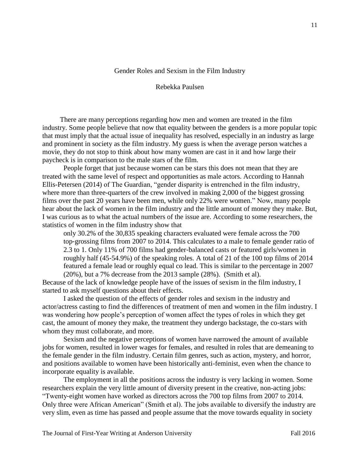# Gender Roles and Sexism in the Film Industry

## Rebekka Paulsen

 There are many perceptions regarding how men and women are treated in the film industry. Some people believe that now that equality between the genders is a more popular topic that must imply that the actual issue of inequality has resolved, especially in an industry as large and prominent in society as the film industry. My guess is when the average person watches a movie, they do not stop to think about how many women are cast in it and how large their paycheck is in comparison to the male stars of the film.

People forget that just because women can be stars this does not mean that they are treated with the same level of respect and opportunities as male actors. According to Hannah Ellis-Petersen (2014) of The Guardian, "gender disparity is entrenched in the film industry, where more than three-quarters of the crew involved in making 2,000 of the biggest grossing films over the past 20 years have been men, while only 22% were women." Now, many people hear about the lack of women in the film industry and the little amount of money they make. But, I was curious as to what the actual numbers of the issue are. According to some researchers, the statistics of women in the film industry show that

only 30.2% of the 30,835 speaking characters evaluated were female across the 700 top‐grossing films from 2007 to 2014. This calculates to a male to female gender ratio of 2.3 to 1. Only 11% of 700 films had gender‐balanced casts or featured girls/women in roughly half (45‐54.9%) of the speaking roles. A total of 21 of the 100 top films of 2014 featured a female lead or roughly equal co lead. This is similar to the percentage in 2007 (20%), but a 7% decrease from the 2013 sample (28%). (Smith et al).

Because of the lack of knowledge people have of the issues of sexism in the film industry, I started to ask myself questions about their effects.

I asked the question of the effects of gender roles and sexism in the industry and actor/actress casting to find the differences of treatment of men and women in the film industry. I was wondering how people's perception of women affect the types of roles in which they get cast, the amount of money they make, the treatment they undergo backstage, the co-stars with whom they must collaborate, and more.

Sexism and the negative perceptions of women have narrowed the amount of available jobs for women, resulted in lower wages for females, and resulted in roles that are demeaning to the female gender in the film industry. Certain film genres, such as action, mystery, and horror, and positions available to women have been historically anti-feminist, even when the chance to incorporate equality is available.

The employment in all the positions across the industry is very lacking in women. Some researchers explain the very little amount of diversity present in the creative, non-acting jobs: "Twenty‐eight women have worked as directors across the 700 top films from 2007 to 2014. Only three were African American" (Smith et al). The jobs available to diversify the industry are very slim, even as time has passed and people assume that the move towards equality in society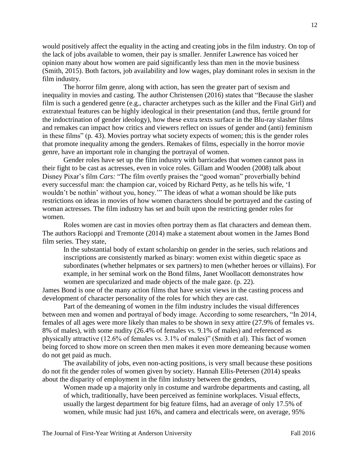would positively affect the equality in the acting and creating jobs in the film industry. On top of the lack of jobs available to women, their pay is smaller. Jennifer Lawrence has voiced her opinion many about how women are paid significantly less than men in the movie business (Smith, 2015). Both factors, job availability and low wages, play dominant roles in sexism in the film industry.

The horror film genre, along with action, has seen the greater part of sexism and inequality in movies and casting. The author Christensen (2016) states that "Because the slasher film is such a gendered genre (e.g., character archetypes such as the killer and the Final Girl) and extratextual features can be highly ideological in their presentation (and thus, fertile ground for the indoctrination of gender ideology), how these extra texts surface in the Blu-ray slasher films and remakes can impact how critics and viewers reflect on issues of gender and (anti) feminism in these films" (p. 43). Movies portray what society expects of women; this is the gender roles that promote inequality among the genders. Remakes of films, especially in the horror movie genre, have an important role in changing the portrayal of women.

Gender roles have set up the film industry with barricades that women cannot pass in their fight to be cast as actresses, even in voice roles. Gillam and Wooden (2008) talk about Disney Pixar's film *Cars:* "The film overtly praises the "good woman" proverbially behind every successful man: the champion car, voiced by Richard Petty, as he tells his wife, 'I wouldn't be nothin' without you, honey.'" The ideas of what a woman should be like puts restrictions on ideas in movies of how women characters should be portrayed and the casting of woman actresses. The film industry has set and built upon the restricting gender roles for women.

Roles women are cast in movies often portray them as flat characters and demean them. The authors Racioppi and Tremonte (2014) make a statement about women in the James Bond film series. They state,

In the substantial body of extant scholarship on gender in the series, such relations and inscriptions are consistently marked as binary: women exist within diegetic space as subordinates (whether helpmates or sex partners) to men (whether heroes or villains). For example, in her seminal work on the Bond films, Janet Woollacott demonstrates how women are specularized and made objects of the male gaze. (p. 22).

James Bond is one of the many action films that have sexist views in the casting process and development of character personality of the roles for which they are cast.

Part of the demeaning of women in the film industry includes the visual differences between men and women and portrayal of body image. According to some researchers, "In 2014, females of all ages were more likely than males to be shown in sexy attire (27.9% of females vs. 8% of males), with some nudity (26.4% of females vs. 9.1% of males) and referenced as physically attractive (12.6% of females vs. 3.1% of males)" (Smith et al). This fact of women being forced to show more on screen then men makes it even more demeaning because women do not get paid as much.

The availability of jobs, even non-acting positions, is very small because these positions do not fit the gender roles of women given by society. Hannah Ellis-Petersen (2014) speaks about the disparity of employment in the film industry between the genders,

Women made up a majority only in costume and wardrobe departments and casting, all of which, traditionally, have been perceived as feminine workplaces. Visual effects, usually the largest department for big feature films, had an average of only 17.5% of women, while music had just 16%, and camera and electricals were, on average, 95%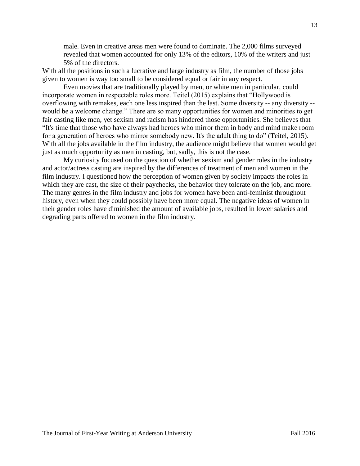male. Even in creative areas men were found to dominate. The 2,000 films surveyed revealed that women accounted for only 13% of the editors, 10% of the writers and just 5% of the directors.

With all the positions in such a lucrative and large industry as film, the number of those jobs given to women is way too small to be considered equal or fair in any respect.

Even movies that are traditionally played by men, or white men in particular, could incorporate women in respectable roles more. Teitel (2015) explains that "Hollywood is overflowing with remakes, each one less inspired than the last. Some diversity -- any diversity - would be a welcome change." There are so many opportunities for women and minorities to get fair casting like men, yet sexism and racism has hindered those opportunities. She believes that "It's time that those who have always had heroes who mirror them in body and mind make room for a generation of heroes who mirror somebody new. It's the adult thing to do" (Teitel, 2015). With all the jobs available in the film industry, the audience might believe that women would get just as much opportunity as men in casting, but, sadly, this is not the case.

My curiosity focused on the question of whether sexism and gender roles in the industry and actor/actress casting are inspired by the differences of treatment of men and women in the film industry. I questioned how the perception of women given by society impacts the roles in which they are cast, the size of their paychecks, the behavior they tolerate on the job, and more. The many genres in the film industry and jobs for women have been anti-feminist throughout history, even when they could possibly have been more equal. The negative ideas of women in their gender roles have diminished the amount of available jobs, resulted in lower salaries and degrading parts offered to women in the film industry.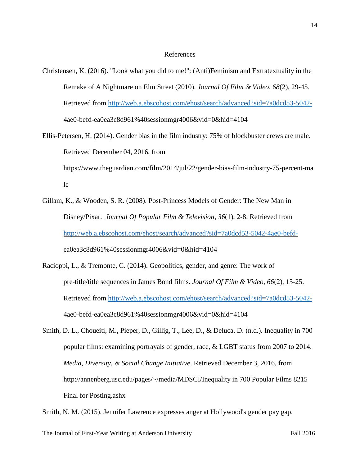#### References

- Christensen, K. (2016). "Look what you did to me!": (Anti)Feminism and Extratextuality in the Remake of A Nightmare on Elm Street (2010). *Journal Of Film & Video*, *68*(2), 29-45. Retrieved from http://web.a.ebscohost.com/ehost/search/advanced?sid=7a0dcd53-5042- 4ae0-befd-ea0ea3c8d961%40sessionmgr4006&vid=0&hid=4104
- Ellis-Petersen, H. (2014). Gender bias in the film industry: 75% of blockbuster crews are male. Retrieved December 04, 2016, from https://www.theguardian.com/film/2014/jul/22/gender-bias-film-industry-75-percent-ma le
- Gillam, K., & Wooden, S. R. (2008). Post-Princess Models of Gender: The New Man in Disney/Pixar. *Journal Of Popular Film & Television*, *36*(1), 2-8. Retrieved from http://web.a.ebscohost.com/ehost/search/advanced?sid=7a0dcd53-5042-4ae0-befdea0ea3c8d961%40sessionmgr4006&vid=0&hid=4104
- Racioppi, L., & Tremonte, C. (2014). Geopolitics, gender, and genre: The work of pre-title/title sequences in James Bond films. *Journal Of Film & Video*, *66*(2), 15-25. Retrieved from http://web.a.ebscohost.com/ehost/search/advanced?sid=7a0dcd53-5042- 4ae0-befd-ea0ea3c8d961%40sessionmgr4006&vid=0&hid=4104
- Smith, D. L., Choueiti, M., Pieper, D., Gillig, T., Lee, D., & Deluca, D. (n.d.). Inequality in 700 popular films: examining portrayals of gender, race, & LGBT status from 2007 to 2014. *Media, Diversity, & Social Change Initiative*. Retrieved December 3, 2016, from http://annenberg.usc.edu/pages/~/media/MDSCI/Inequality in 700 Popular Films 8215 Final for Posting.ashx

Smith, N. M. (2015). Jennifer Lawrence expresses anger at Hollywood's gender pay gap.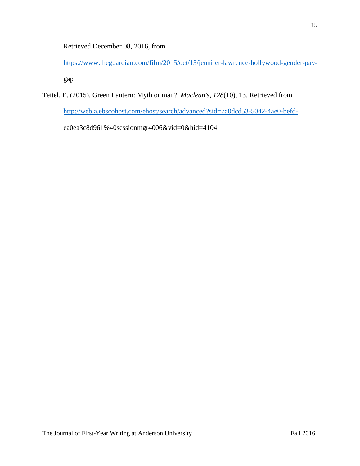Retrieved December 08, 2016, from

https://www.theguardian.com/film/2015/oct/13/jennifer-lawrence-hollywood-gender-paygap

Teitel, E. (2015). Green Lantern: Myth or man?. *Maclean's*, *128*(10), 13. Retrieved from http://web.a.ebscohost.com/ehost/search/advanced?sid=7a0dcd53-5042-4ae0-befdea0ea3c8d961%40sessionmgr4006&vid=0&hid=4104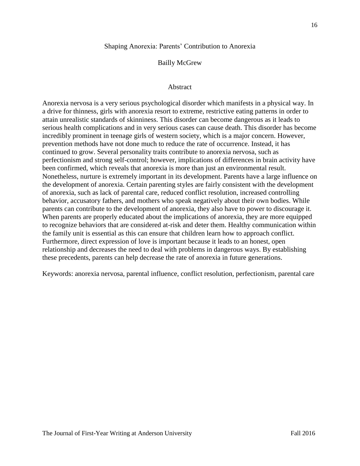#### Shaping Anorexia: Parents' Contribution to Anorexia

# Bailly McGrew

# Abstract

Anorexia nervosa is a very serious psychological disorder which manifests in a physical way. In a drive for thinness, girls with anorexia resort to extreme, restrictive eating patterns in order to attain unrealistic standards of skinniness. This disorder can become dangerous as it leads to serious health complications and in very serious cases can cause death. This disorder has become incredibly prominent in teenage girls of western society, which is a major concern. However, prevention methods have not done much to reduce the rate of occurrence. Instead, it has continued to grow. Several personality traits contribute to anorexia nervosa, such as perfectionism and strong self-control; however, implications of differences in brain activity have been confirmed, which reveals that anorexia is more than just an environmental result. Nonetheless, nurture is extremely important in its development. Parents have a large influence on the development of anorexia. Certain parenting styles are fairly consistent with the development of anorexia, such as lack of parental care, reduced conflict resolution, increased controlling behavior, accusatory fathers, and mothers who speak negatively about their own bodies. While parents can contribute to the development of anorexia, they also have to power to discourage it. When parents are properly educated about the implications of anorexia, they are more equipped to recognize behaviors that are considered at-risk and deter them. Healthy communication within the family unit is essential as this can ensure that children learn how to approach conflict. Furthermore, direct expression of love is important because it leads to an honest, open relationship and decreases the need to deal with problems in dangerous ways. By establishing these precedents, parents can help decrease the rate of anorexia in future generations.

Keywords: anorexia nervosa, parental influence, conflict resolution, perfectionism, parental care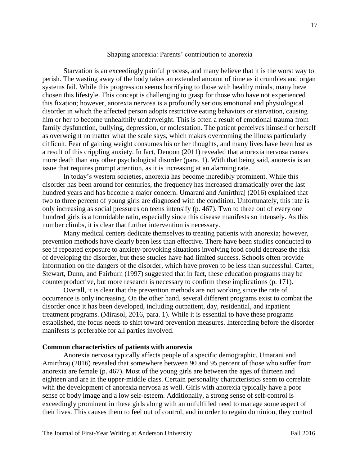# Shaping anorexia: Parents' contribution to anorexia

Starvation is an exceedingly painful process, and many believe that it is the worst way to perish. The wasting away of the body takes an extended amount of time as it crumbles and organ systems fail. While this progression seems horrifying to those with healthy minds, many have chosen this lifestyle. This concept is challenging to grasp for those who have not experienced this fixation; however, anorexia nervosa is a profoundly serious emotional and physiological disorder in which the affected person adopts restrictive eating behaviors or starvation, causing him or her to become unhealthily underweight. This is often a result of emotional trauma from family dysfunction, bullying, depression, or molestation. The patient perceives himself or herself as overweight no matter what the scale says, which makes overcoming the illness particularly difficult. Fear of gaining weight consumes his or her thoughts, and many lives have been lost as a result of this crippling anxiety. In fact, Denoon (2011) revealed that anorexia nervosa causes more death than any other psychological disorder (para. 1). With that being said, anorexia is an issue that requires prompt attention, as it is increasing at an alarming rate.

In today's western societies, anorexia has become incredibly prominent. While this disorder has been around for centuries, the frequency has increased dramatically over the last hundred years and has become a major concern. Umarani and Amirthraj (2016) explained that two to three percent of young girls are diagnosed with the condition. Unfortunately, this rate is only increasing as social pressures on teens intensify (p. 467). Two to three out of every one hundred girls is a formidable ratio, especially since this disease manifests so intensely. As this number climbs, it is clear that further intervention is necessary.

Many medical centers dedicate themselves to treating patients with anorexia; however, prevention methods have clearly been less than effective. There have been studies conducted to see if repeated exposure to anxiety-provoking situations involving food could decrease the risk of developing the disorder, but these studies have had limited success. Schools often provide information on the dangers of the disorder, which have proven to be less than successful. Carter, Stewart, Dunn, and Fairburn (1997) suggested that in fact, these education programs may be counterproductive, but more research is necessary to confirm these implications (p. 171).

Overall, it is clear that the prevention methods are not working since the rate of occurrence is only increasing. On the other hand, several different programs exist to combat the disorder once it has been developed, including outpatient, day, residential, and inpatient treatment programs. (Mirasol, 2016, para. 1). While it is essential to have these programs established, the focus needs to shift toward prevention measures. Interceding before the disorder manifests is preferable for all parties involved.

# **Common characteristics of patients with anorexia**

Anorexia nervosa typically affects people of a specific demographic. Umarani and Amirthraj (2016) revealed that somewhere between 90 and 95 percent of those who suffer from anorexia are female (p. 467). Most of the young girls are between the ages of thirteen and eighteen and are in the upper-middle class. Certain personality characteristics seem to correlate with the development of anorexia nervosa as well. Girls with anorexia typically have a poor sense of body image and a low self-esteem. Additionally, a strong sense of self-control is exceedingly prominent in these girls along with an unfulfilled need to manage some aspect of their lives. This causes them to feel out of control, and in order to regain dominion, they control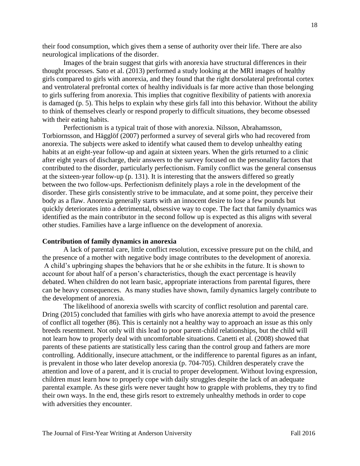their food consumption, which gives them a sense of authority over their life. There are also neurological implications of the disorder.

Images of the brain suggest that girls with anorexia have structural differences in their thought processes. Sato et al. (2013) performed a study looking at the MRI images of healthy girls compared to girls with anorexia, and they found that the right dorsolateral prefrontal cortex and ventrolateral prefrontal cortex of healthy individuals is far more active than those belonging to girls suffering from anorexia. This implies that cognitive flexibility of patients with anorexia is damaged (p. 5). This helps to explain why these girls fall into this behavior. Without the ability to think of themselves clearly or respond properly to difficult situations, they become obsessed with their eating habits.

Perfectionism is a typical trait of those with anorexia. Nilsson, Abrahamsson, Torbiornsson, and Hägglöf (2007) performed a survey of several girls who had recovered from anorexia. The subjects were asked to identify what caused them to develop unhealthy eating habits at an eight-year follow-up and again at sixteen years. When the girls returned to a clinic after eight years of discharge, their answers to the survey focused on the personality factors that contributed to the disorder, particularly perfectionism. Family conflict was the general consensus at the sixteen-year follow-up (p. 131). It is interesting that the answers differed so greatly between the two follow-ups. Perfectionism definitely plays a role in the development of the disorder. These girls consistently strive to be immaculate, and at some point, they perceive their body as a flaw. Anorexia generally starts with an innocent desire to lose a few pounds but quickly deteriorates into a detrimental, obsessive way to cope. The fact that family dynamics was identified as the main contributor in the second follow up is expected as this aligns with several other studies. Families have a large influence on the development of anorexia.

# **Contribution of family dynamics in anorexia**

A lack of parental care, little conflict resolution, excessive pressure put on the child, and the presence of a mother with negative body image contributes to the development of anorexia. A child's upbringing shapes the behaviors that he or she exhibits in the future. It is shown to account for about half of a person's characteristics, though the exact percentage is heavily debated. When children do not learn basic, appropriate interactions from parental figures, there can be heavy consequences. As many studies have shown, family dynamics largely contribute to the development of anorexia.

The likelihood of anorexia swells with scarcity of conflict resolution and parental care. Dring (2015) concluded that families with girls who have anorexia attempt to avoid the presence of conflict all together (86). This is certainly not a healthy way to approach an issue as this only breeds resentment. Not only will this lead to poor parent-child relationships, but the child will not learn how to properly deal with uncomfortable situations. Canetti et al. (2008) showed that parents of these patients are statistically less caring than the control group and fathers are more controlling. Additionally, insecure attachment, or the indifference to parental figures as an infant, is prevalent in those who later develop anorexia (p. 704-705). Children desperately crave the attention and love of a parent, and it is crucial to proper development. Without loving expression, children must learn how to properly cope with daily struggles despite the lack of an adequate parental example. As these girls were never taught how to grapple with problems, they try to find their own ways. In the end, these girls resort to extremely unhealthy methods in order to cope with adversities they encounter.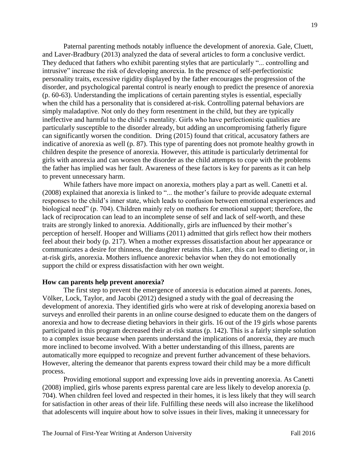Paternal parenting methods notably influence the development of anorexia. Gale, Cluett, and Laver-Bradbury (2013) analyzed the data of several articles to form a conclusive verdict. They deduced that fathers who exhibit parenting styles that are particularly "... controlling and intrusive" increase the risk of developing anorexia. In the presence of self-perfectionistic personality traits, excessive rigidity displayed by the father encourages the progression of the disorder, and psychological parental control is nearly enough to predict the presence of anorexia (p. 60-63). Understanding the implications of certain parenting styles is essential, especially when the child has a personality that is considered at-risk. Controlling paternal behaviors are simply maladaptive. Not only do they form resentment in the child, but they are typically ineffective and harmful to the child's mentality. Girls who have perfectionistic qualities are particularly susceptible to the disorder already, but adding an uncompromising fatherly figure can significantly worsen the condition. Dring (2015) found that critical, accusatory fathers are indicative of anorexia as well (p. 87). This type of parenting does not promote healthy growth in children despite the presence of anorexia. However, this attitude is particularly detrimental for girls with anorexia and can worsen the disorder as the child attempts to cope with the problems the father has implied was her fault. Awareness of these factors is key for parents as it can help to prevent unnecessary harm.

While fathers have more impact on anorexia, mothers play a part as well. Canetti et al. (2008) explained that anorexia is linked to "... the mother's failure to provide adequate external responses to the child's inner state, which leads to confusion between emotional experiences and biological need" (p. 704). Children mainly rely on mothers for emotional support; therefore, the lack of reciprocation can lead to an incomplete sense of self and lack of self-worth, and these traits are strongly linked to anorexia. Additionally, girls are influenced by their mother's perception of herself. Hooper and Williams (2011) admitted that girls reflect how their mothers feel about their body (p. 217). When a mother expresses dissatisfaction about her appearance or communicates a desire for thinness, the daughter retains this. Later, this can lead to dieting or, in at-risk girls, anorexia. Mothers influence anorexic behavior when they do not emotionally support the child or express dissatisfaction with her own weight.

#### **How can parents help prevent anorexia?**

The first step to prevent the emergence of anorexia is education aimed at parents. Jones, Völker, Lock, Taylor, and Jacobi (2012) designed a study with the goal of decreasing the development of anorexia. They identified girls who were at risk of developing anorexia based on surveys and enrolled their parents in an online course designed to educate them on the dangers of anorexia and how to decrease dieting behaviors in their girls. 16 out of the 19 girls whose parents participated in this program decreased their at-risk status (p. 142). This is a fairly simple solution to a complex issue because when parents understand the implications of anorexia, they are much more inclined to become involved. With a better understanding of this illness, parents are automatically more equipped to recognize and prevent further advancement of these behaviors. However, altering the demeanor that parents express toward their child may be a more difficult process.

Providing emotional support and expressing love aids in preventing anorexia. As Canetti (2008) implied, girls whose parents express parental care are less likely to develop anorexia (p. 704). When children feel loved and respected in their homes, it is less likely that they will search for satisfaction in other areas of their life. Fulfilling these needs will also increase the likelihood that adolescents will inquire about how to solve issues in their lives, making it unnecessary for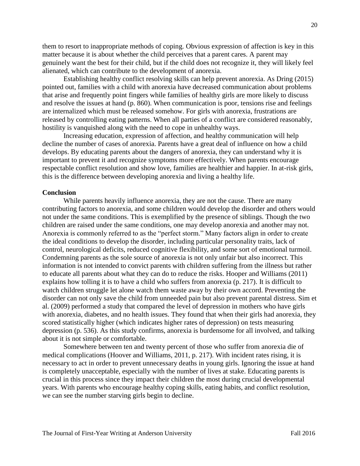them to resort to inappropriate methods of coping. Obvious expression of affection is key in this matter because it is about whether the child perceives that a parent cares. A parent may genuinely want the best for their child, but if the child does not recognize it, they will likely feel alienated, which can contribute to the development of anorexia.

Establishing healthy conflict resolving skills can help prevent anorexia. As Dring (2015) pointed out, families with a child with anorexia have decreased communication about problems that arise and frequently point fingers while families of healthy girls are more likely to discuss and resolve the issues at hand (p. 860). When communication is poor, tensions rise and feelings are internalized which must be released somehow. For girls with anorexia, frustrations are released by controlling eating patterns. When all parties of a conflict are considered reasonably, hostility is vanquished along with the need to cope in unhealthy ways.

Increasing education, expression of affection, and healthy communication will help decline the number of cases of anorexia. Parents have a great deal of influence on how a child develops. By educating parents about the dangers of anorexia, they can understand why it is important to prevent it and recognize symptoms more effectively. When parents encourage respectable conflict resolution and show love, families are healthier and happier. In at-risk girls, this is the difference between developing anorexia and living a healthy life.

#### **Conclusion**

While parents heavily influence anorexia, they are not the cause. There are many contributing factors to anorexia, and some children would develop the disorder and others would not under the same conditions. This is exemplified by the presence of siblings. Though the two children are raised under the same conditions, one may develop anorexia and another may not. Anorexia is commonly referred to as the "perfect storm." Many factors align in order to create the ideal conditions to develop the disorder, including particular personality traits, lack of control, neurological deficits, reduced cognitive flexibility, and some sort of emotional turmoil. Condemning parents as the sole source of anorexia is not only unfair but also incorrect. This information is not intended to convict parents with children suffering from the illness but rather to educate all parents about what they can do to reduce the risks. Hooper and Williams (2011) explains how tolling it is to have a child who suffers from anorexia (p. 217). It is difficult to watch children struggle let alone watch them waste away by their own accord. Preventing the disorder can not only save the child from unneeded pain but also prevent parental distress. Sim et al. (2009) performed a study that compared the level of depression in mothers who have girls with anorexia, diabetes, and no health issues. They found that when their girls had anorexia, they scored statistically higher (which indicates higher rates of depression) on tests measuring depression (p. 536). As this study confirms, anorexia is burdensome for all involved, and talking about it is not simple or comfortable.

Somewhere between ten and twenty percent of those who suffer from anorexia die of medical complications (Hoover and Williams, 2011, p. 217). With incident rates rising, it is necessary to act in order to prevent unnecessary deaths in young girls. Ignoring the issue at hand is completely unacceptable, especially with the number of lives at stake. Educating parents is crucial in this process since they impact their children the most during crucial developmental years. With parents who encourage healthy coping skills, eating habits, and conflict resolution, we can see the number starving girls begin to decline.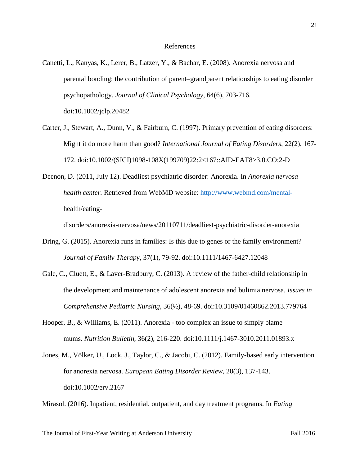#### References

- Canetti, L., Kanyas, K., Lerer, B., Latzer, Y., & Bachar, E. (2008). Anorexia nervosa and parental bonding: the contribution of parent–grandparent relationships to eating disorder psychopathology. *Journal of Clinical Psychology,* 64(6), 703-716. doi:10.1002/jclp.20482
- Carter, J., Stewart, A., Dunn, V., & Fairburn, C. (1997). Primary prevention of eating disorders: Might it do more harm than good? *International Journal of Eating Disorders,* 22(2), 167- 172. doi:10.1002/(SICI)1098-108X(199709)22:2<167::AID-EAT8>3.0.CO;2-D
- Deenon, D. (2011, July 12). Deadliest psychiatric disorder: Anorexia. In *Anorexia nervosa health center.* Retrieved from WebMD website: http://www.webmd.com/mentalhealth/eating-

disorders/anorexia-nervosa/news/20110711/deadliest-psychiatric-disorder-anorexia

- Dring, G. (2015). Anorexia runs in families: Is this due to genes or the family environment? *Journal of Family Therapy,* 37(1), 79-92. doi:10.1111/1467-6427.12048
- Gale, C., Cluett, E., & Laver-Bradbury, C. (2013). A review of the father-child relationship in the development and maintenance of adolescent anorexia and bulimia nervosa. *Issues in Comprehensive Pediatric Nursing,* 36(½), 48-69. doi:10.3109/01460862.2013.779764
- Hooper, B., & Williams, E. (2011). Anorexia too complex an issue to simply blame mums. *Nutrition Bulletin,* 36(2), 216-220. doi:10.1111/j.1467-3010.2011.01893.x
- Jones, M., Völker, U., Lock, J., Taylor, C., & Jacobi, C. (2012). Family-based early intervention for anorexia nervosa. *European Eating Disorder Review,* 20(3), 137-143. doi:10.1002/erv.2167

Mirasol. (2016). Inpatient, residential, outpatient, and day treatment programs. In *Eating*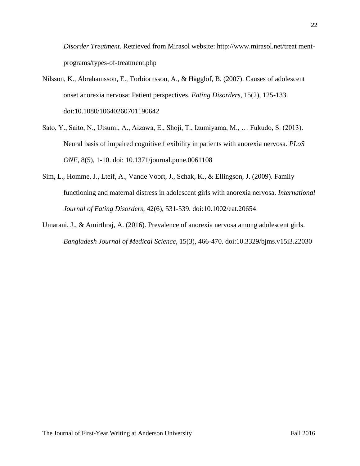*Disorder Treatment.* Retrieved from Mirasol website: http://www.mirasol.net/treat mentprograms/types-of-treatment.php

- Nilsson, K., Abrahamsson, E., Torbiornsson, A., & Hägglöf, B. (2007). Causes of adolescent onset anorexia nervosa: Patient perspectives. *Eating Disorders,* 15(2), 125-133. doi:10.1080/10640260701190642
- Sato, Y., Saito, N., Utsumi, A., Aizawa, E., Shoji, T., Izumiyama, M., … Fukudo, S. (2013). Neural basis of impaired cognitive flexibility in patients with anorexia nervosa. *PLoS ONE,* 8(5), 1-10. doi: 10.1371/journal.pone.0061108
- Sim, L., Homme, J., Lteif, A., Vande Voort, J., Schak, K., & Ellingson, J. (2009). Family functioning and maternal distress in adolescent girls with anorexia nervosa. *International Journal of Eating Disorders,* 42(6), 531-539. doi:10.1002/eat.20654
- Umarani, J., & Amirthraj, A. (2016). Prevalence of anorexia nervosa among adolescent girls. *Bangladesh Journal of Medical Science,* 15(3), 466-470. doi:10.3329/bjms.v15i3.22030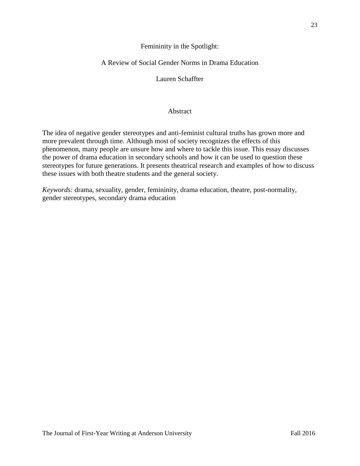# Femininity in the Spotlight:

# A Review of Social Gender Norms in Drama Education

Lauren Schaffter

# Abstract

The idea of negative gender stereotypes and anti-feminist cultural truths has grown more and more prevalent through time. Although most of society recognizes the effects of this phenomenon, many people are unsure how and where to tackle this issue. This essay discusses the power of drama education in secondary schools and how it can be used to question these stereotypes for future generations. It presents theatrical research and examples of how to discuss these issues with both theatre students and the general society.

*Keywords:* drama, sexuality, gender, femininity, drama education, theatre, post-normality, gender stereotypes, secondary drama education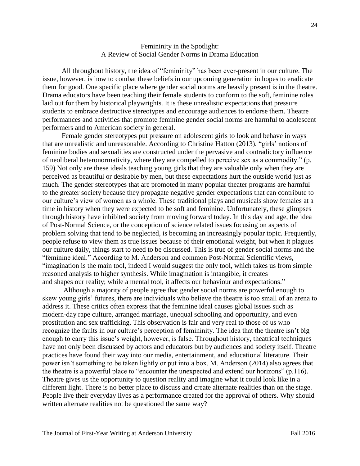# Femininity in the Spotlight: A Review of Social Gender Norms in Drama Education

 All throughout history, the idea of "femininity" has been ever-present in our culture. The issue, however, is how to combat these beliefs in our upcoming generation in hopes to eradicate them for good. One specific place where gender social norms are heavily present is in the theatre. Drama educators have been teaching their female students to conform to the soft, feminine roles laid out for them by historical playwrights. It is these unrealistic expectations that pressure students to embrace destructive stereotypes and encourage audiences to endorse them. Theatre performances and activities that promote feminine gender social norms are harmful to adolescent performers and to American society in general.

 Female gender stereotypes put pressure on adolescent girls to look and behave in ways that are unrealistic and unreasonable. According to Christine Hatton (2013), "girls' notions of feminine bodies and sexualities are constructed under the pervasive and contradictory influence of neoliberal heteronormativity, where they are compelled to perceive sex as a commodity." (p. 159) Not only are these ideals teaching young girls that they are valuable only when they are perceived as beautiful or desirable by men, but these expectations hurt the outside world just as much. The gender stereotypes that are promoted in many popular theater programs are harmful to the greater society because they propagate negative gender expectations that can contribute to our culture's view of women as a whole. These traditional plays and musicals show females at a time in history when they were expected to be soft and feminine. Unfortunately, these glimpses through history have inhibited society from moving forward today. In this day and age, the idea of Post-Normal Science, or the conception of science related issues focusing on aspects of problem solving that tend to be neglected, is becoming an increasingly popular topic. Frequently, people refuse to view them as true issues because of their emotional weight, but when it plagues our culture daily, things start to need to be discussed. This is true of gender social norms and the "feminine ideal." According to M. Anderson and common Post-Normal Scientific views, "imagination is the main tool, indeed I would suggest the only tool, which takes us from simple reasoned analysis to higher synthesis. While imagination is intangible, it creates and shapes our reality; while a mental tool, it affects our behaviour and expectations."

Although a majority of people agree that gender social norms are powerful enough to skew young girls' futures, there are individuals who believe the theatre is too small of an arena to address it. These critics often express that the feminine ideal causes global issues such as modern-day rape culture, arranged marriage, unequal schooling and opportunity, and even prostitution and sex trafficking. This observation is fair and very real to those of us who recognize the faults in our culture's perception of femininity. The idea that the theatre isn't big enough to carry this issue's weight, however, is false. Throughout history, theatrical techniques have not only been discussed by actors and educators but by audiences and society itself. Theatre practices have found their way into our media, entertainment, and educational literature. Their power isn't something to be taken lightly or put into a box. M. Anderson (2014) also agrees that the theatre is a powerful place to "encounter the unexpected and extend our horizons" (p.116). Theatre gives us the opportunity to question reality and imagine what it could look like in a different light. There is no better place to discuss and create alternate realities than on the stage. People live their everyday lives as a performance created for the approval of others. Why should written alternate realities not be questioned the same way?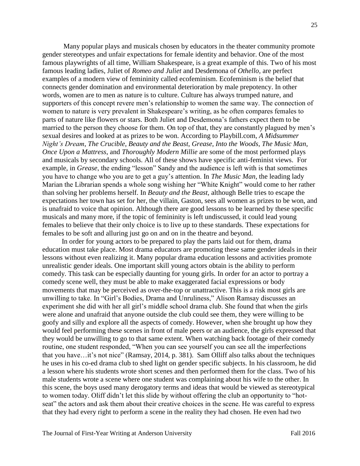Many popular plays and musicals chosen by educators in the theater community promote gender stereotypes and unfair expectations for female identity and behavior. One of the most famous playwrights of all time, William Shakespeare, is a great example of this. Two of his most famous leading ladies, Juliet of *Romeo and Juliet* and Desdemona of *Othello,* are perfect examples of a modern view of femininity called ecofeminism. Ecofeminism is the belief that connects gender domination and environmental deterioration by male prepotency. In other words, women are to men as nature is to culture. Culture has always trumped nature, and supporters of this concept revere men's relationship to women the same way. The connection of women to nature is very prevalent in Shakespeare's writing, as he often compares females to parts of nature like flowers or stars. Both Juliet and Desdemona's fathers expect them to be married to the person they choose for them. On top of that, they are constantly plagued by men's sexual desires and looked at as prizes to be won. According to Playbill.com, *A Midsummer Night's Dream*, *The Crucible*, *Beauty and the Beast*, *Grease*, *Into the Woods*, *The Music Man*, *Once Upon a Mattress*, and *Thoroughly Modern Millie* are some of the most performed plays and musicals by secondary schools. All of these shows have specific anti-feminist views. For example, in *Grease*, the ending "lesson" Sandy and the audience is left with is that sometimes you have to change who you are to get a guy's attention. In *The Music Man*, the leading lady Marian the Librarian spends a whole song wishing her "White Knight" would come to her rather than solving her problems herself. In *Beauty and the Beast*, although Belle tries to escape the expectations her town has set for her, the villain, Gaston, sees all women as prizes to be won, and is unafraid to voice that opinion. Although there are good lessons to be learned by these specific musicals and many more, if the topic of femininity is left undiscussed, it could lead young females to believe that their only choice is to live up to these standards. These expectations for females to be soft and alluring just go on and on in the theatre and beyond.

 In order for young actors to be prepared to play the parts laid out for them, drama education must take place. Most drama educators are promoting these same gender ideals in their lessons without even realizing it. Many popular drama education lessons and activities promote unrealistic gender ideals. One important skill young actors obtain is the ability to perform comedy. This task can be especially daunting for young girls. In order for an actor to portray a comedy scene well, they must be able to make exaggerated facial expressions or body movements that may be perceived as over-the-top or unattractive. This is a risk most girls are unwilling to take. In "Girl's Bodies, Drama and Unruliness," Alison Ramsay discusses an experiment she did with her all girl's middle school drama club. She found that when the girls were alone and unafraid that anyone outside the club could see them, they were willing to be goofy and silly and explore all the aspects of comedy. However, when she brought up how they would feel performing these scenes in front of male peers or an audience, the girls expressed that they would be unwilling to go to that same extent. When watching back footage of their comedy routine, one student responded, "When you can see yourself you can see all the imperfections that you have…it's not nice" (Ramsay, 2014, p. 381). Sam Olliff also talks about the techniques he uses in his co-ed drama club to shed light on gender specific subjects. In his classroom, he did a lesson where his students wrote short scenes and then performed them for the class. Two of his male students wrote a scene where one student was complaining about his wife to the other. In this scene, the boys used many derogatory terms and ideas that would be viewed as stereotypical to women today. Oliff didn't let this slide by without offering the club an opportunity to "hotseat" the actors and ask them about their creative choices in the scene. He was careful to express that they had every right to perform a scene in the reality they had chosen. He even had two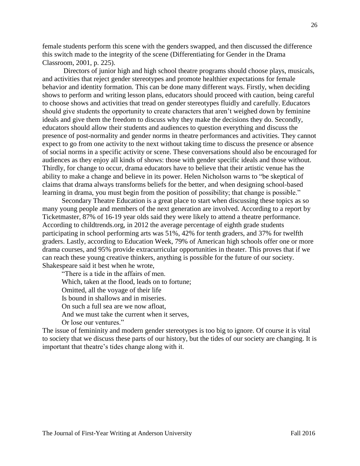female students perform this scene with the genders swapped, and then discussed the difference this switch made to the integrity of the scene (Differentiating for Gender in the Drama Classroom, 2001, p. 225).

Directors of junior high and high school theatre programs should choose plays, musicals, and activities that reject gender stereotypes and promote healthier expectations for female behavior and identity formation. This can be done many different ways. Firstly, when deciding shows to perform and writing lesson plans, educators should proceed with caution, being careful to choose shows and activities that tread on gender stereotypes fluidly and carefully. Educators should give students the opportunity to create characters that aren't weighed down by feminine ideals and give them the freedom to discuss why they make the decisions they do. Secondly, educators should allow their students and audiences to question everything and discuss the presence of post-normality and gender norms in theatre performances and activities. They cannot expect to go from one activity to the next without taking time to discuss the presence or absence of social norms in a specific activity or scene. These conversations should also be encouraged for audiences as they enjoy all kinds of shows: those with gender specific ideals and those without. Thirdly, for change to occur, drama educators have to believe that their artistic venue has the ability to make a change and believe in its power. Helen Nicholson warns to "be skeptical of claims that drama always transforms beliefs for the better, and when designing school-based learning in drama, you must begin from the position of possibility; that change is possible."

 Secondary Theatre Education is a great place to start when discussing these topics as so many young people and members of the next generation are involved. According to a report by Ticketmaster, 87% of 16-19 year olds said they were likely to attend a theatre performance. According to childtrends.org, in 2012 the average percentage of eighth grade students participating in school performing arts was 51%, 42% for tenth graders, and 37% for twelfth graders. Lastly, according to Education Week, 79% of American high schools offer one or more drama courses, and 95% provide extracurricular opportunities in theater. This proves that if we can reach these young creative thinkers, anything is possible for the future of our society. Shakespeare said it best when he wrote,

 "There is a tide in the affairs of men. Which, taken at the flood, leads on to fortune; Omitted, all the voyage of their life Is bound in shallows and in miseries. On such a full sea are we now afloat, And we must take the current when it serves, Or lose our ventures."

The issue of femininity and modern gender stereotypes is too big to ignore. Of course it is vital to society that we discuss these parts of our history, but the tides of our society are changing. It is important that theatre's tides change along with it.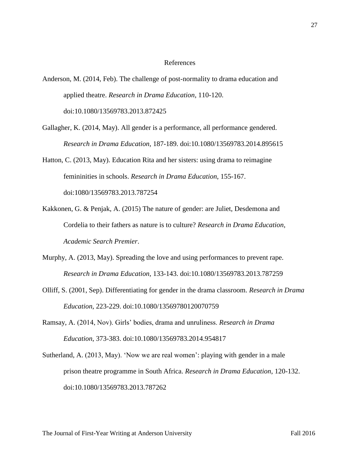# References

- Anderson, M. (2014, Feb). The challenge of post-normality to drama education and applied theatre. *Research in Drama Education*, 110-120. doi:10.1080/13569783.2013.872425
- Gallagher, K. (2014, May). All gender is a performance, all performance gendered. *Research in Drama Education*, 187-189. doi:10.1080/13569783.2014.895615
- Hatton, C. (2013, May). Education Rita and her sisters: using drama to reimagine femininities in schools. *Research in Drama Education*, 155-167. doi:1080/13569783.2013.787254
- Kakkonen, G. & Penjak, A. (2015) The nature of gender: are Juliet, Desdemona and Cordelia to their fathers as nature is to culture? *Research in Drama Education*, *Academic Search Premier*.
- Murphy, A. (2013, May). Spreading the love and using performances to prevent rape. *Research in Drama Education*, 133-143. doi:10.1080/13569783.2013.787259
- Olliff, S. (2001, Sep). Differentiating for gender in the drama classroom. *Research in Drama Education*, 223-229. doi:10.1080/13569780120070759
- Ramsay, A. (2014, Nov). Girls' bodies, drama and unruliness. *Research in Drama Education*, 373-383. doi:10.1080/13569783.2014.954817
- Sutherland, A. (2013, May). 'Now we are real women': playing with gender in a male prison theatre programme in South Africa. *Research in Drama Education*, 120-132. doi:10.1080/13569783.2013.787262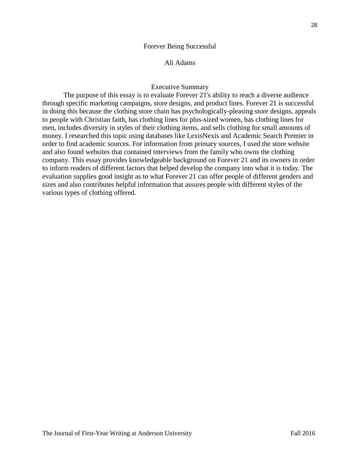#### Forever Being Successful

# Ali Adams

# Executive Summary

The purpose of this essay is to evaluate Forever 21's ability to reach a diverse audience through specific marketing campaigns, store designs, and product lines. Forever 21 is successful in doing this because the clothing store chain has psychologically-pleasing store designs, appeals to people with Christian faith, has clothing lines for plus-sized women, has clothing lines for men, includes diversity in styles of their clothing items, and sells clothing for small amounts of money. I researched this topic using databases like LexisNexis and Academic Search Premier in order to find academic sources. For information from primary sources, I used the store website and also found websites that contained interviews from the family who owns the clothing company. This essay provides knowledgeable background on Forever 21 and its owners in order to inform readers of different factors that helped develop the company into what it is today. The evaluation supplies good insight as to what Forever 21 can offer people of different genders and sizes and also contributes helpful information that assures people with different styles of the various types of clothing offered.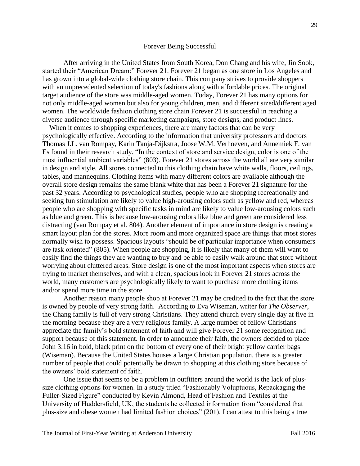#### Forever Being Successful

After arriving in the United States from South Korea, Don Chang and his wife, Jin Sook, started their "American Dream:" Forever 21. Forever 21 began as one store in Los Angeles and has grown into a global-wide clothing store chain. This company strives to provide shoppers with an unprecedented selection of today's fashions along with affordable prices. The original target audience of the store was middle-aged women. Today, Forever 21 has many options for not only middle-aged women but also for young children, men, and different sized/different aged women. The worldwide fashion clothing store chain Forever 21 is successful in reaching a diverse audience through specific marketing campaigns, store designs, and product lines.

 When it comes to shopping experiences, there are many factors that can be very psychologically effective. According to the information that university professors and doctors Thomas J.L. van Rompay, Karin Tanja-Dijkstra, Joose W.M. Verhoeven, and Annemiek F. van Es found in their research study, "In the context of store and service design, color is one of the most influential ambient variables" (803). Forever 21 stores across the world all are very similar in design and style. All stores connected to this clothing chain have white walls, floors, ceilings, tables, and mannequins. Clothing items with many different colors are available although the overall store design remains the same blank white that has been a Forever 21 signature for the past 32 years. According to psychological studies, people who are shopping recreationally and seeking fun stimulation are likely to value high-arousing colors such as yellow and red, whereas people who are shopping with specific tasks in mind are likely to value low-arousing colors such as blue and green. This is because low-arousing colors like blue and green are considered less distracting (van Rompay et al. 804). Another element of importance in store design is creating a smart layout plan for the stores. More room and more organized space are things that most stores normally wish to possess. Spacious layouts "should be of particular importance when consumers are task oriented" (805). When people are shopping, it is likely that many of them will want to easily find the things they are wanting to buy and be able to easily walk around that store without worrying about cluttered areas. Store design is one of the most important aspects when stores are trying to market themselves, and with a clean, spacious look in Forever 21 stores across the world, many customers are psychologically likely to want to purchase more clothing items and/or spend more time in the store.

Another reason many people shop at Forever 21 may be credited to the fact that the store is owned by people of very strong faith. According to Eva Wiseman, writer for *The Observer*, the Chang family is full of very strong Christians. They attend church every single day at five in the morning because they are a very religious family. A large number of fellow Christians appreciate the family's bold statement of faith and will give Forever 21 some recognition and support because of this statement. In order to announce their faith, the owners decided to place John 3:16 in bold, black print on the bottom of every one of their bright yellow carrier bags (Wiseman). Because the United States houses a large Christian population, there is a greater number of people that could potentially be drawn to shopping at this clothing store because of the owners' bold statement of faith.

One issue that seems to be a problem in outfitters around the world is the lack of plussize clothing options for women. In a study titled "Fashionably Voluptuous, Repackaging the Fuller-Sized Figure" conducted by Kevin Almond, Head of Fashion and Textiles at the University of Huddersfield, UK, the students he collected information from "considered that plus-size and obese women had limited fashion choices" (201). I can attest to this being a true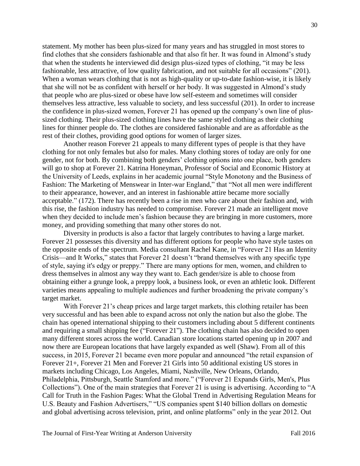statement. My mother has been plus-sized for many years and has struggled in most stores to find clothes that she considers fashionable and that also fit her. It was found in Almond's study that when the students he interviewed did design plus-sized types of clothing, "it may be less fashionable, less attractive, of low quality fabrication, and not suitable for all occasions" (201). When a woman wears clothing that is not as high-quality or up-to-date fashion-wise, it is likely that she will not be as confident with herself or her body. It was suggested in Almond's study that people who are plus-sized or obese have low self-esteem and sometimes will consider themselves less attractive, less valuable to society, and less successful (201). In order to increase the confidence in plus-sized women, Forever 21 has opened up the company's own line of plussized clothing. Their plus-sized clothing lines have the same styled clothing as their clothing lines for thinner people do. The clothes are considered fashionable and are as affordable as the rest of their clothes, providing good options for women of larger sizes.

Another reason Forever 21 appeals to many different types of people is that they have clothing for not only females but also for males. Many clothing stores of today are only for one gender, not for both. By combining both genders' clothing options into one place, both genders will go to shop at Forever 21. Katrina Honeyman, Professor of Social and Economic History at the University of Leeds, explains in her academic journal "Style Monotony and the Business of Fashion: The Marketing of Menswear in Inter-war England," that "Not all men were indifferent to their appearance, however, and an interest in fashionable attire became more socially acceptable." (172). There has recently been a rise in men who care about their fashion and, with this rise, the fashion industry has needed to compromise. Forever 21 made an intelligent move when they decided to include men's fashion because they are bringing in more customers, more money, and providing something that many other stores do not.

Diversity in products is also a factor that largely contributes to having a large market. Forever 21 possesses this diversity and has different options for people who have style tastes on the opposite ends of the spectrum. Media consultant Rachel Kane, in "Forever 21 Has an Identity Crisis—and It Works," states that Forever 21 doesn't "brand themselves with any specific type of style, saying it's edgy or preppy." There are many options for men, women, and children to dress themselves in almost any way they want to. Each gender/size is able to choose from obtaining either a grunge look, a preppy look, a business look, or even an athletic look. Different varieties means appealing to multiple audiences and further broadening the private company's target market.

With Forever 21's cheap prices and large target markets, this clothing retailer has been very successful and has been able to expand across not only the nation but also the globe. The chain has opened international shipping to their customers including about 5 different continents and requiring a small shipping fee ("Forever 21"). The clothing chain has also decided to open many different stores across the world. Canadian store locations started opening up in 2007 and now there are European locations that have largely expanded as well (Shaw). From all of this success, in 2015, Forever 21 became even more popular and announced "the retail expansion of Forever 21+, Forever 21 Men and Forever 21 Girls into 50 additional existing US stores in markets including Chicago, Los Angeles, Miami, Nashville, New Orleans, Orlando, Philadelphia, Pittsburgh, Seattle Stamford and more." ("Forever 21 Expands Girls, Men's, Plus Collections"). One of the main strategies that Forever 21 is using is advertising. According to "A Call for Truth in the Fashion Pages: What the Global Trend in Advertising Regulation Means for U.S. Beauty and Fashion Advertisers," "US companies spent \$140 billion dollars on domestic and global advertising across television, print, and online platforms" only in the year 2012. Out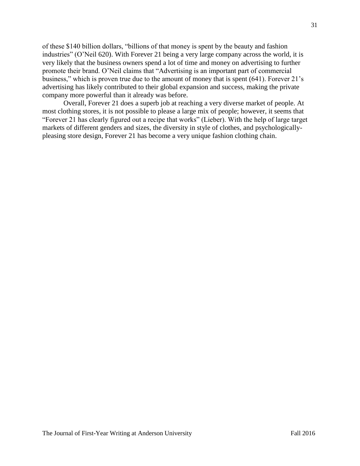of these \$140 billion dollars, "billions of that money is spent by the beauty and fashion industries" (O'Neil 620). With Forever 21 being a very large company across the world, it is very likely that the business owners spend a lot of time and money on advertising to further promote their brand. O'Neil claims that "Advertising is an important part of commercial business," which is proven true due to the amount of money that is spent (641). Forever 21's advertising has likely contributed to their global expansion and success, making the private company more powerful than it already was before.

Overall, Forever 21 does a superb job at reaching a very diverse market of people. At most clothing stores, it is not possible to please a large mix of people; however, it seems that "Forever 21 has clearly figured out a recipe that works" (Lieber). With the help of large target markets of different genders and sizes, the diversity in style of clothes, and psychologicallypleasing store design, Forever 21 has become a very unique fashion clothing chain.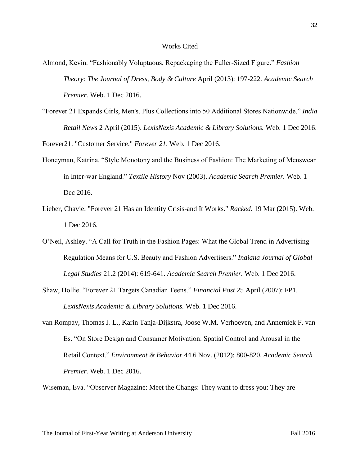- Almond, Kevin. "Fashionably Voluptuous, Repackaging the Fuller-Sized Figure." *Fashion Theory: The Journal of Dress, Body & Culture* April (2013): 197-222. *Academic Search Premier.* Web. 1 Dec 2016.
- "Forever 21 Expands Girls, Men's, Plus Collections into 50 Additional Stores Nationwide." *India Retail News* 2 April (2015). *LexisNexis Academic & Library Solutions.* Web. 1 Dec 2016.

Forever21. "Customer Service." *Forever 21*. Web. 1 Dec 2016.

- Honeyman, Katrina. "Style Monotony and the Business of Fashion: The Marketing of Menswear in Inter-war England." *Textile History* Nov (2003). *Academic Search Premier.* Web. 1 Dec 2016.
- Lieber, Chavie. "Forever 21 Has an Identity Crisis-and It Works." *Racked*. 19 Mar (2015). Web. 1 Dec 2016.
- O'Neil, Ashley. "A Call for Truth in the Fashion Pages: What the Global Trend in Advertising Regulation Means for U.S. Beauty and Fashion Advertisers." *Indiana Journal of Global Legal Studies* 21.2 (2014): 619-641. *Academic Search Premier.* Web. 1 Dec 2016.
- Shaw, Hollie. "Forever 21 Targets Canadian Teens." *Financial Post* 25 April (2007): FP1. *LexisNexis Academic & Library Solutions.* Web. 1 Dec 2016.
- van Rompay, Thomas J. L., Karin Tanja-Dijkstra, Joose W.M. Verhoeven, and Annemiek F. van Es. "On Store Design and Consumer Motivation: Spatial Control and Arousal in the Retail Context." *Environment & Behavior* 44.6 Nov. (2012): 800-820. *Academic Search Premier.* Web. 1 Dec 2016.

Wiseman, Eva. "Observer Magazine: Meet the Changs: They want to dress you: They are